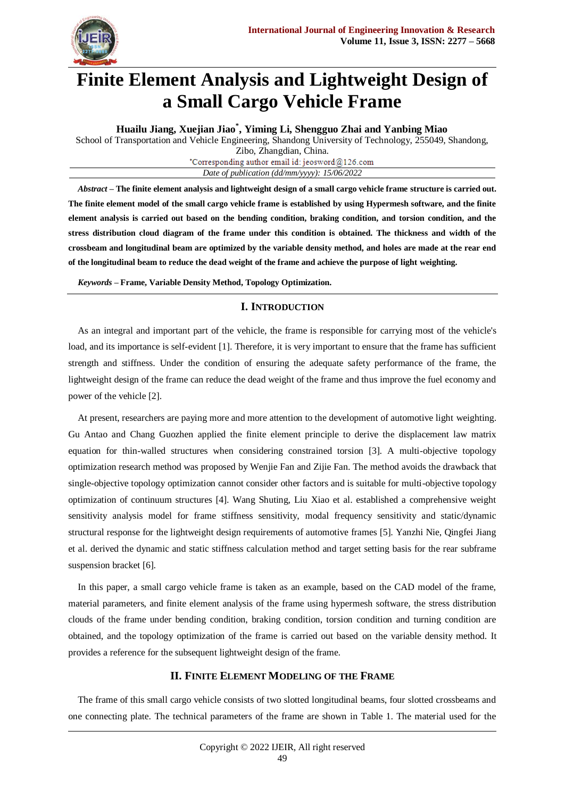

# **Finite Element Analysis and Lightweight Design of a Small Cargo Vehicle Frame**

**Huailu Jiang, Xuejian Jiao\* , Yiming Li, Shengguo Zhai and Yanbing Miao** School of Transportation and Vehicle Engineering, Shandong University of Technology, 255049, Shandong, Zibo, Zhangdian, China. \*Corresponding author email id: jeosword@126.com *Date of publication (dd/mm/yyyy): 15/06/2022*

*Abstract* **– The finite element analysis and lightweight design of a small cargo vehicle frame structure is carried out. The finite element model of the small cargo vehicle frame is established by using Hypermesh software, and the finite element analysis is carried out based on the bending condition, braking condition, and torsion condition, and the stress distribution cloud diagram of the frame under this condition is obtained. The thickness and width of the crossbeam and longitudinal beam are optimized by the variable density method, and holes are made at the rear end of the longitudinal beam to reduce the dead weight of the frame and achieve the purpose of light weighting.**

*Keywords* **– Frame, Variable Density Method, Topology Optimization.**

# **I. INTRODUCTION**

As an integral and important part of the vehicle, the frame is responsible for carrying most of the vehicle's load, and its importance is self-evident [1]. Therefore, it is very important to ensure that the frame has sufficient strength and stiffness. Under the condition of ensuring the adequate safety performance of the frame, the lightweight design of the frame can reduce the dead weight of the frame and thus improve the fuel economy and power of the vehicle [2].

At present, researchers are paying more and more attention to the development of automotive light weighting. Gu Antao and Chang Guozhen applied the finite element principle to derive the displacement law matrix equation for thin-walled structures when considering constrained torsion [3]. A multi-objective topology optimization research method was proposed by Wenjie Fan and Zijie Fan. The method avoids the drawback that single-objective topology optimization cannot consider other factors and is suitable for multi-objective topology optimization of continuum structures [4]. Wang Shuting, Liu Xiao et al. established a comprehensive weight sensitivity analysis model for frame stiffness sensitivity, modal frequency sensitivity and static/dynamic structural response for the lightweight design requirements of automotive frames [5]. Yanzhi Nie, Qingfei Jiang et al. derived the dynamic and static stiffness calculation method and target setting basis for the rear subframe suspension bracket [6].

In this paper, a small cargo vehicle frame is taken as an example, based on the CAD model of the frame, material parameters, and finite element analysis of the frame using hypermesh software, the stress distribution clouds of the frame under bending condition, braking condition, torsion condition and turning condition are obtained, and the topology optimization of the frame is carried out based on the variable density method. It provides a reference for the subsequent lightweight design of the frame.

## **II. FINITE ELEMENT MODELING OF THE FRAME**

The frame of this small cargo vehicle consists of two slotted longitudinal beams, four slotted crossbeams and one connecting plate. The technical parameters of the frame are shown in Table 1. The material used for the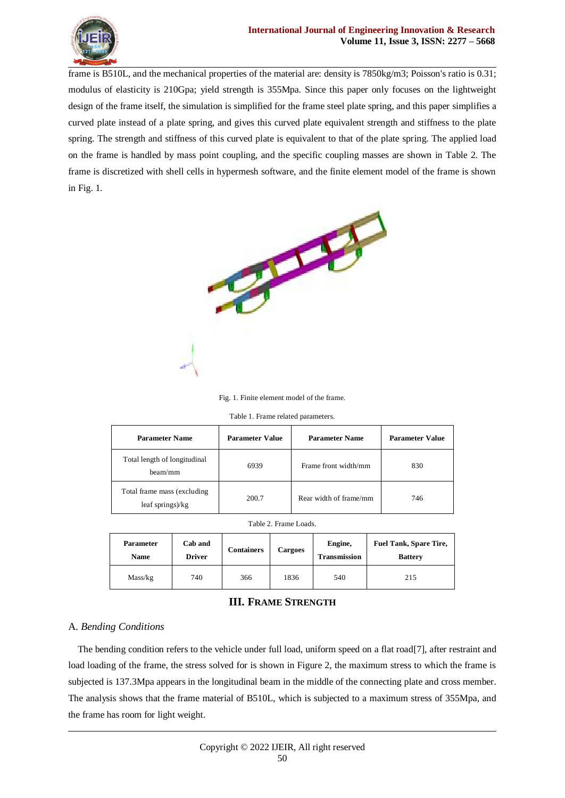

frame is B510L, and the mechanical properties of the material are: density is 7850kg/m3; Poisson's ratio is 0.31; modulus of elasticity is 210Gpa; yield strength is 355Mpa. Since this paper only focuses on the lightweight design of the frame itself, the simulation is simplified for the frame steel plate spring, and this paper simplifies a curved plate instead of a plate spring, and gives this curved plate equivalent strength and stiffness to the plate spring. The strength and stiffness of this curved plate is equivalent to that of the plate spring. The applied load on the frame is handled by mass point coupling, and the specific coupling masses are shown in Table 2. The frame is discretized with shell cells in hypermesh software, and the finite element model of the frame is shown in Fig. 1.



Fig. 1. Finite element model of the frame.

|  |  |  | Table 1. Frame related parameters. |
|--|--|--|------------------------------------|
|--|--|--|------------------------------------|

| <b>Parameter Name</b>                           | <b>Parameter Value</b> | <b>Parameter Name</b>  | <b>Parameter Value</b> |
|-------------------------------------------------|------------------------|------------------------|------------------------|
| Total length of longitudinal<br>beam/mm         | 6939                   | Frame front width/mm   | 830                    |
| Total frame mass (excluding<br>leaf springs)/kg | 200.7                  | Rear width of frame/mm | 746                    |

|  | Table 2. Frame Loads. |
|--|-----------------------|
|--|-----------------------|

| <b>Parameter</b><br><b>Name</b> | Cab and<br><b>Driver</b> | <b>Containers</b> | <b>Cargoes</b> | Engine,<br><b>Transmission</b> | <b>Fuel Tank, Spare Tire,</b><br><b>Battery</b> |
|---------------------------------|--------------------------|-------------------|----------------|--------------------------------|-------------------------------------------------|
| Mass/kg                         | 740                      | 366               | 1836           | 540                            | 215                                             |

## **III. FRAME STRENGTH**

### A. *Bending Conditions*

The bending condition refers to the vehicle under full load, uniform speed on a flat road[7], after restraint and load loading of the frame, the stress solved for is shown in Figure 2, the maximum stress to which the frame is subjected is 137.3Mpa appears in the longitudinal beam in the middle of the connecting plate and cross member. The analysis shows that the frame material of B510L, which is subjected to a maximum stress of 355Mpa, and the frame has room for light weight.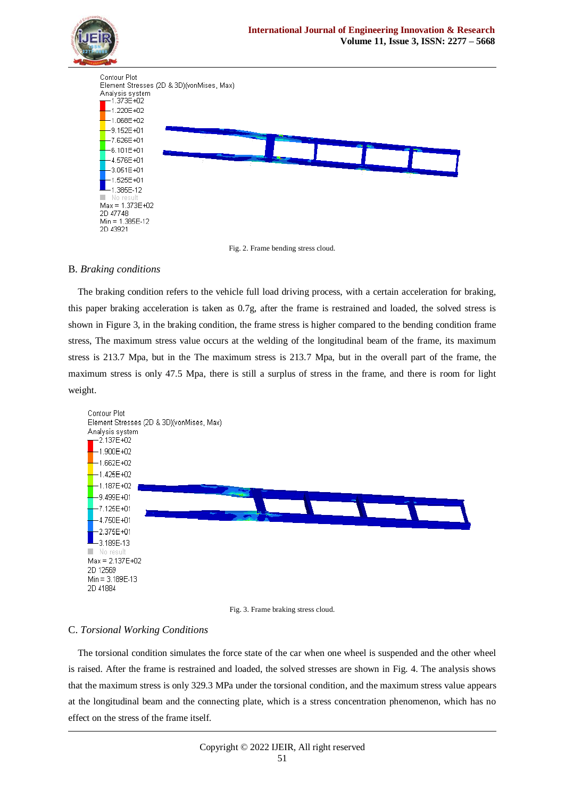



### B. *Braking conditions*

The braking condition refers to the vehicle full load driving process, with a certain acceleration for braking, this paper braking acceleration is taken as 0.7g, after the frame is restrained and loaded, the solved stress is shown in Figure 3, in the braking condition, the frame stress is higher compared to the bending condition frame stress, The maximum stress value occurs at the welding of the longitudinal beam of the frame, its maximum stress is 213.7 Mpa, but in the The maximum stress is 213.7 Mpa, but in the overall part of the frame, the maximum stress is only 47.5 Mpa, there is still a surplus of stress in the frame, and there is room for light weight.



Fig. 3. Frame braking stress cloud.

### C. *Torsional Working Conditions*

The torsional condition simulates the force state of the car when one wheel is suspended and the other wheel is raised. After the frame is restrained and loaded, the solved stresses are shown in Fig. 4. The analysis shows that the maximum stress is only 329.3 MPa under the torsional condition, and the maximum stress value appears at the longitudinal beam and the connecting plate, which is a stress concentration phenomenon, which has no effect on the stress of the frame itself.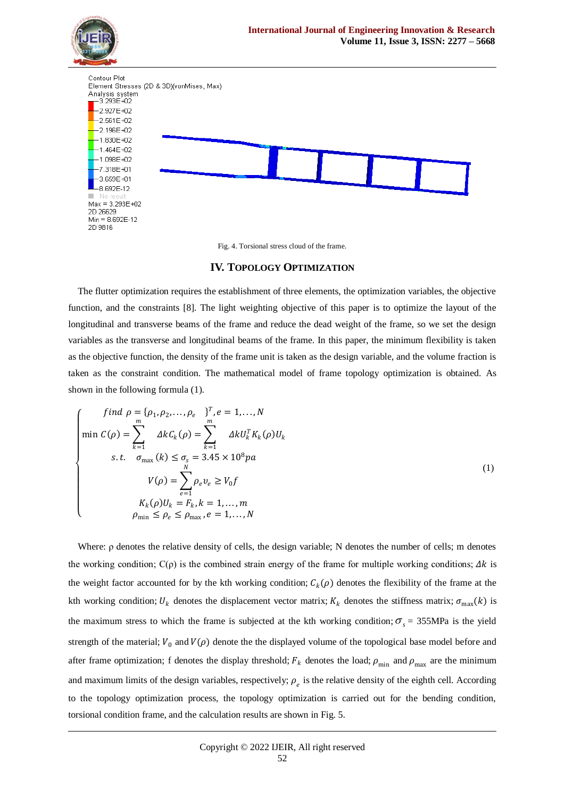

Fig. 4. Torsional stress cloud of the frame.

### **IV. TOPOLOGY OPTIMIZATION**

The flutter optimization requires the establishment of three elements, the optimization variables, the objective function, and the constraints [8]. The light weighting objective of this paper is to optimize the layout of the longitudinal and transverse beams of the frame and reduce the dead weight of the frame, so we set the design variables as the transverse and longitudinal beams of the frame. In this paper, the minimum flexibility is taken as the objective function, the density of the frame unit is taken as the design variable, and the volume fraction is taken as the constraint condition. The mathematical model of frame topology optimization is obtained. As shown in the following formula (1).

$$
\begin{cases}\n\int \operatorname{ind} \rho = \{\rho_1, \rho_2, \dots, \rho_e\}^T, e = 1, \dots, N \\
\min \mathcal{C}(\rho) = \sum_{k=1}^m \Delta k \mathcal{C}_k(\rho) = \sum_{k=1}^m \Delta k \mathcal{U}_k^T K_k(\rho) U_k \\
\text{s.t.} \quad \sigma_{\max} (k) \le \sigma_s = 3.45 \times 10^8 p a \\
V(\rho) = \sum_{e=1}^N \rho_e v_e \ge V_0 f \\
K_k(\rho) U_k = F_k, k = 1, \dots, m \\
\rho_{\min} \le \rho_e \le \rho_{\max}, e = 1, \dots, N\n\end{cases} \tag{1}
$$

Where: ρ denotes the relative density of cells, the design variable; N denotes the number of cells; m denotes the working condition;  $C(\rho)$  is the combined strain energy of the frame for multiple working conditions;  $\Delta k$  is the weight factor accounted for by the kth working condition;  $C_k(\rho)$  denotes the flexibility of the frame at the kth working condition;  $U_k$  denotes the displacement vector matrix;  $K_k$  denotes the stiffness matrix;  $\sigma_{\text{max}}(k)$  is the maximum stress to which the frame is subjected at the kth working condition;  $\sigma_s = 355 \text{MPa}$  is the yield strength of the material;  $V_0$  and  $V(\rho)$  denote the the displayed volume of the topological base model before and after frame optimization; f denotes the display threshold;  $F_k$  denotes the load;  $\rho_{min}$  and  $\rho_{max}$  are the minimum and maximum limits of the design variables, respectively;  $\rho_e$  is the relative density of the eighth cell. According to the topology optimization process, the topology optimization is carried out for the bending condition, torsional condition frame, and the calculation results are shown in Fig. 5.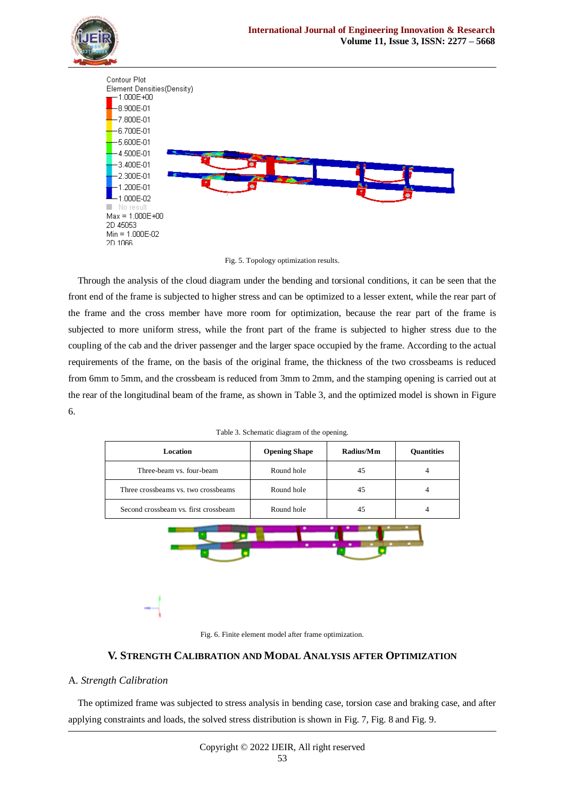





Through the analysis of the cloud diagram under the bending and torsional conditions, it can be seen that the front end of the frame is subjected to higher stress and can be optimized to a lesser extent, while the rear part of the frame and the cross member have more room for optimization, because the rear part of the frame is subjected to more uniform stress, while the front part of the frame is subjected to higher stress due to the coupling of the cab and the driver passenger and the larger space occupied by the frame. According to the actual requirements of the frame, on the basis of the original frame, the thickness of the two crossbeams is reduced from 6mm to 5mm, and the crossbeam is reduced from 3mm to 2mm, and the stamping opening is carried out at the rear of the longitudinal beam of the frame, as shown in Table 3, and the optimized model is shown in Figure 6.

| Table 3. Schematic diagram of the opening. |  |  |
|--------------------------------------------|--|--|
|--------------------------------------------|--|--|

| Location                             | <b>Opening Shape</b> | Radius/Mm | Quantities     |
|--------------------------------------|----------------------|-----------|----------------|
| Three-beam vs. four-beam             | Round hole           | 45        | $\overline{4}$ |
| Three crossbeams vs. two crossbeams  | Round hole           | 45        | $\overline{4}$ |
| Second crossbeam vs. first crossbeam | Round hole           | 45        | $\overline{4}$ |
|                                      | ۰                    |           |                |
|                                      |                      |           |                |



# **V. STRENGTH CALIBRATION AND MODAL ANALYSIS AFTER OPTIMIZATION**

# A. *Strength Calibration*

The optimized frame was subjected to stress analysis in bending case, torsion case and braking case, and after applying constraints and loads, the solved stress distribution is shown in Fig. 7, Fig. 8 and Fig. 9.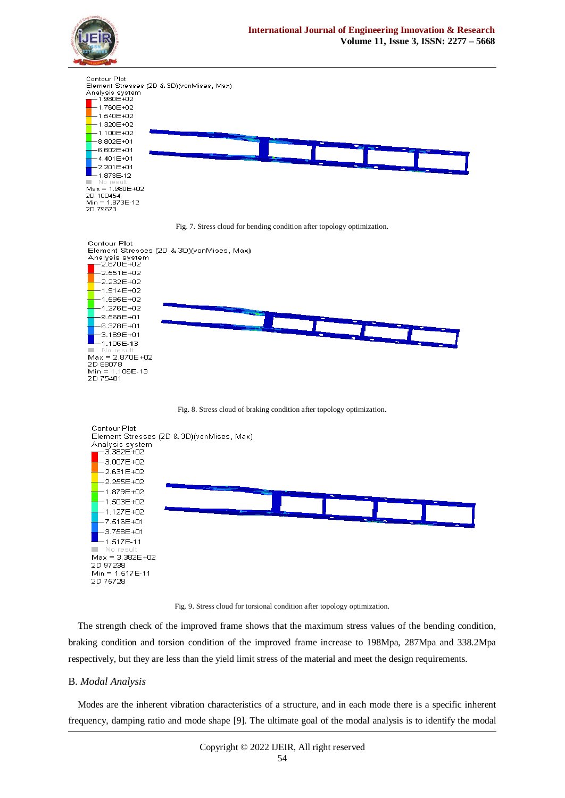

Fig. 9. Stress cloud for torsional condition after topology optimization.

The strength check of the improved frame shows that the maximum stress values of the bending condition, braking condition and torsion condition of the improved frame increase to 198Mpa, 287Mpa and 338.2Mpa respectively, but they are less than the yield limit stress of the material and meet the design requirements.

#### B. *Modal Analysis*

Modes are the inherent vibration characteristics of a structure, and in each mode there is a specific inherent frequency, damping ratio and mode shape [9]. The ultimate goal of the modal analysis is to identify the modal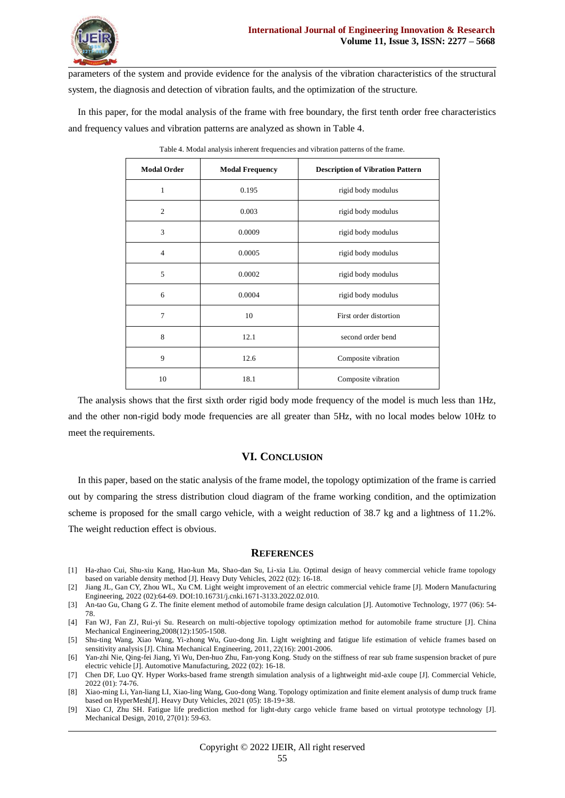

parameters of the system and provide evidence for the analysis of the vibration characteristics of the structural system, the diagnosis and detection of vibration faults, and the optimization of the structure.

In this paper, for the modal analysis of the frame with free boundary, the first tenth order free characteristics and frequency values and vibration patterns are analyzed as shown in Table 4.

| <b>Modal Order</b> | <b>Modal Frequency</b> | <b>Description of Vibration Pattern</b> |
|--------------------|------------------------|-----------------------------------------|
| 1                  | 0.195                  | rigid body modulus                      |
| $\overline{2}$     | 0.003                  | rigid body modulus                      |
| 3                  | 0.0009                 | rigid body modulus                      |
| $\overline{4}$     | 0.0005                 | rigid body modulus                      |
| 5                  | 0.0002                 | rigid body modulus                      |
| 6                  | 0.0004                 | rigid body modulus                      |
| 7                  | 10                     | First order distortion                  |
| 8                  | 12.1                   | second order bend                       |
| 9                  | 12.6                   | Composite vibration                     |
| 10                 | 18.1                   | Composite vibration                     |

Table 4. Modal analysis inherent frequencies and vibration patterns of the frame.

The analysis shows that the first sixth order rigid body mode frequency of the model is much less than 1Hz, and the other non-rigid body mode frequencies are all greater than 5Hz, with no local modes below 10Hz to meet the requirements.

### **VI. CONCLUSION**

In this paper, based on the static analysis of the frame model, the topology optimization of the frame is carried out by comparing the stress distribution cloud diagram of the frame working condition, and the optimization scheme is proposed for the small cargo vehicle, with a weight reduction of 38.7 kg and a lightness of 11.2%. The weight reduction effect is obvious.

### **REFERENCES**

- [1] Ha-zhao Cui, Shu-xiu Kang, Hao-kun Ma, Shao-dan Su, Li-xia Liu. Optimal design of heavy commercial vehicle frame topology based on variable density method [J]. Heavy Duty Vehicles, 2022 (02): 16-18.
- [2] Jiang JL, Gan CY, Zhou WL, Xu CM. Light weight improvement of an electric commercial vehicle frame [J]. Modern Manufacturing Engineering, 2022 (02):64-69. DOI:10.16731/j.cnki.1671-3133.2022.02.010.
- [3] An-tao Gu, Chang G Z. The finite element method of automobile frame design calculation [J]. Automotive Technology, 1977 (06): 54- 78.
- [4] Fan WJ, Fan ZJ, Rui-yi Su. Research on multi-objective topology optimization method for automobile frame structure [J]. China Mechanical Engineering,2008(12):1505-1508.
- [5] Shu-ting Wang, Xiao Wang, Yi-zhong Wu, Guo-dong Jin. Light weighting and fatigue life estimation of vehicle frames based on sensitivity analysis [J]. China Mechanical Engineering, 2011, 22(16): 2001-2006.
- [6] Yan-zhi Nie, Qing-fei Jiang, Yi Wu, Den-huo Zhu, Fan-yong Kong. Study on the stiffness of rear sub frame suspension bracket of pure electric vehicle [J]. Automotive Manufacturing, 2022 (02): 16-18.
- [7] Chen DF, Luo QY. Hyper Works-based frame strength simulation analysis of a lightweight mid-axle coupe [J]. Commercial Vehicle, 2022 (01): 74-76.
- [8] Xiao-ming Li, Yan-liang LI, Xiao-ling Wang, Guo-dong Wang. Topology optimization and finite element analysis of dump truck frame based on HyperMesh[J]. Heavy Duty Vehicles, 2021 (05): 18-19+38.
- [9] Xiao CJ, Zhu SH. Fatigue life prediction method for light-duty cargo vehicle frame based on virtual prototype technology [J]. Mechanical Design, 2010, 27(01): 59-63.